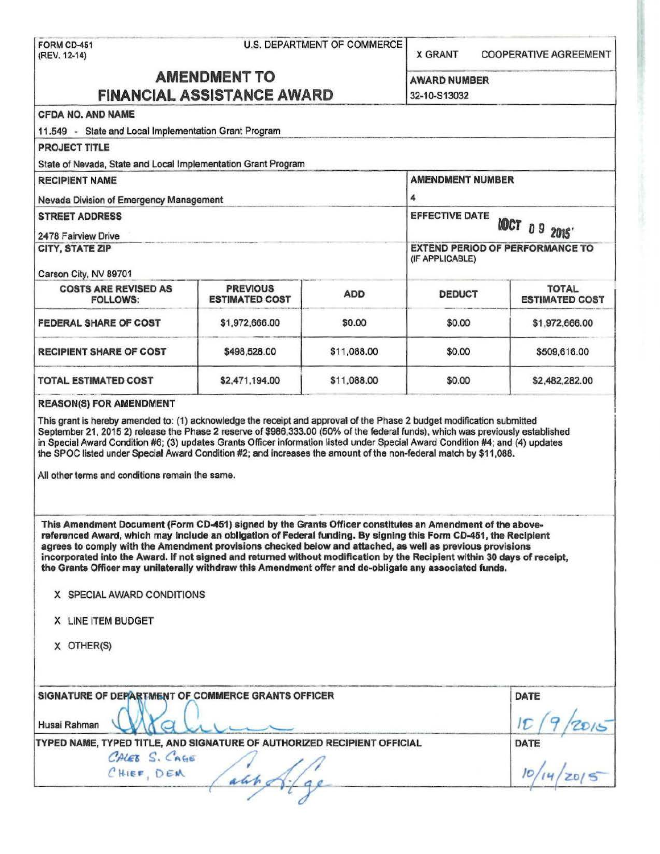|                                                                                                                                                                                                                                                                                                                                                                                                                                                                                                                                                                                                                                                     | U.S. DEPARTMENT OF COMMERCE<br>FORM CD-451<br>(REV. 12-14) |                                                           |                                               | <b>COOPERATIVE AGREEMENT</b> |  |
|-----------------------------------------------------------------------------------------------------------------------------------------------------------------------------------------------------------------------------------------------------------------------------------------------------------------------------------------------------------------------------------------------------------------------------------------------------------------------------------------------------------------------------------------------------------------------------------------------------------------------------------------------------|------------------------------------------------------------|-----------------------------------------------------------|-----------------------------------------------|------------------------------|--|
|                                                                                                                                                                                                                                                                                                                                                                                                                                                                                                                                                                                                                                                     | <b>AMENDMENT TO</b>                                        |                                                           | <b>AWARD NUMBER</b>                           |                              |  |
| <b>FINANCIAL ASSISTANCE AWARD</b>                                                                                                                                                                                                                                                                                                                                                                                                                                                                                                                                                                                                                   |                                                            |                                                           | 32-10-S13032                                  |                              |  |
| <b>CFDA NO, AND NAME</b>                                                                                                                                                                                                                                                                                                                                                                                                                                                                                                                                                                                                                            |                                                            |                                                           |                                               |                              |  |
| 11.549 - State and Local Implementation Grant Program                                                                                                                                                                                                                                                                                                                                                                                                                                                                                                                                                                                               |                                                            |                                                           |                                               |                              |  |
| <b>PROJECT TITLE</b>                                                                                                                                                                                                                                                                                                                                                                                                                                                                                                                                                                                                                                |                                                            |                                                           |                                               |                              |  |
| State of Nevada, State and Local Implementation Grant Program                                                                                                                                                                                                                                                                                                                                                                                                                                                                                                                                                                                       |                                                            |                                                           |                                               |                              |  |
|                                                                                                                                                                                                                                                                                                                                                                                                                                                                                                                                                                                                                                                     |                                                            |                                                           | <b>AMENDMENT NUMBER</b>                       |                              |  |
| <b>RECIPIENT NAME</b>                                                                                                                                                                                                                                                                                                                                                                                                                                                                                                                                                                                                                               |                                                            |                                                           |                                               |                              |  |
| Nevada Division of Emergency Management                                                                                                                                                                                                                                                                                                                                                                                                                                                                                                                                                                                                             |                                                            |                                                           | 4                                             |                              |  |
| <b>STREET ADDRESS</b>                                                                                                                                                                                                                                                                                                                                                                                                                                                                                                                                                                                                                               |                                                            |                                                           | <b>EFFECTIVE DATE</b><br><b>IOCT 09 2015'</b> |                              |  |
| 2478 Fairview Drive                                                                                                                                                                                                                                                                                                                                                                                                                                                                                                                                                                                                                                 |                                                            |                                                           |                                               |                              |  |
| <b>CITY, STATE ZIP</b><br>Carson City, NV 89701                                                                                                                                                                                                                                                                                                                                                                                                                                                                                                                                                                                                     |                                                            | <b>EXTEND PERIOD OF PERFORMANCE TO</b><br>(IF APPLICABLE) |                                               |                              |  |
| <b>COSTS ARE REVISED AS</b>                                                                                                                                                                                                                                                                                                                                                                                                                                                                                                                                                                                                                         | <b>PREVIOUS</b>                                            |                                                           |                                               | <b>TOTAL</b>                 |  |
| <b>FOLLOWS:</b>                                                                                                                                                                                                                                                                                                                                                                                                                                                                                                                                                                                                                                     | <b>ESTIMATED COST</b>                                      | <b>ADD</b>                                                | <b>DEDUCT</b>                                 | <b>ESTIMATED COST</b>        |  |
| <b>FEDERAL SHARE OF COST</b>                                                                                                                                                                                                                                                                                                                                                                                                                                                                                                                                                                                                                        | \$1,972,666.00                                             | \$0.00                                                    | \$0.00                                        | \$1,972,666.00               |  |
| <b>RECIPIENT SHARE OF COST</b>                                                                                                                                                                                                                                                                                                                                                                                                                                                                                                                                                                                                                      | \$498,528.00                                               | \$11,088.00                                               | \$0.00                                        | \$509,616.00                 |  |
| <b>TOTAL ESTIMATED COST</b>                                                                                                                                                                                                                                                                                                                                                                                                                                                                                                                                                                                                                         | \$2,471,194.00                                             | \$11,088.00                                               | \$0.00                                        | \$2,482,282.00               |  |
|                                                                                                                                                                                                                                                                                                                                                                                                                                                                                                                                                                                                                                                     |                                                            |                                                           |                                               |                              |  |
| This grant is hereby amended to: (1) acknowledge the receipt and approval of the Phase 2 budget modification submitted<br>September 21, 2015 2) release the Phase 2 reserve of \$986,333.00 (50% of the federal funds), which was previously established<br>in Special Award Condition #6; (3) updates Grants Officer information listed under Special Award Condition #4; and (4) updates<br>the SPOC listed under Special Award Condition #2; and increases the amount of the non-federal match by \$11,088.<br>All other terms and conditions remain the same.                                                                                   |                                                            |                                                           |                                               |                              |  |
| This Amendment Document (Form CD-451) signed by the Grants Officer constitutes an Amendment of the above-<br>referenced Award, which may include an obligation of Federal funding. By signing this Form CD-451, the Recipient<br>agrees to comply with the Amendment provisions checked below and attached, as well as previous provisions<br>incorporated into the Award. If not signed and returned without modification by the Recipient within 30 days of receipt,<br>the Grants Officer may unilaterally withdraw this Amendment offer and de-obligate any associated funds.<br>X SPECIAL AWARD CONDITIONS<br>X LINE ITEM BUDGET<br>X OTHER(S) |                                                            |                                                           |                                               |                              |  |
| SIGNATURE OF DEPARTMENT OF COMMERCE GRANTS OFFICER<br>Husai Rahman                                                                                                                                                                                                                                                                                                                                                                                                                                                                                                                                                                                  |                                                            |                                                           |                                               | <b>DATE</b>                  |  |
| TYPED NAME, TYPED TITLE, AND SIGNATURE OF AUTHORIZED RECIPIENT OFFICIAL<br>CALEB S. CAGE<br>CHIEF, DEM                                                                                                                                                                                                                                                                                                                                                                                                                                                                                                                                              |                                                            |                                                           |                                               | <b>DATE</b>                  |  |